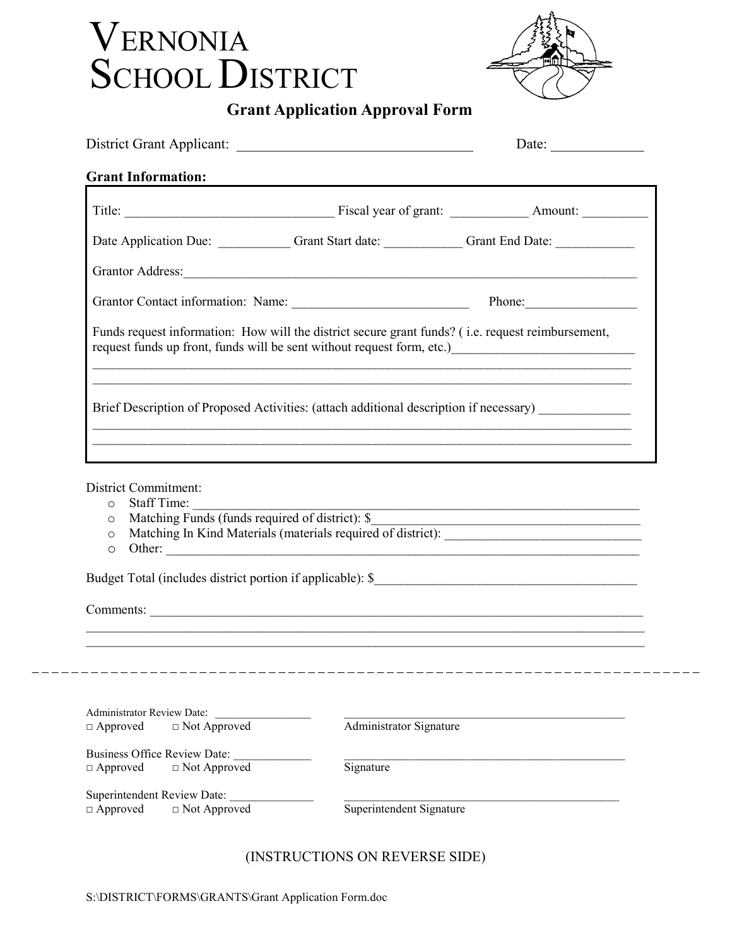## VERNONIA SCHOOL DISTRICT



## Grant Application Approval Form

|                                                                                                                                    |                                                                                                                                                                                                                                                             | Date: $\frac{1}{\sqrt{1-\frac{1}{2}} \cdot \frac{1}{2}}$ |
|------------------------------------------------------------------------------------------------------------------------------------|-------------------------------------------------------------------------------------------------------------------------------------------------------------------------------------------------------------------------------------------------------------|----------------------------------------------------------|
| <b>Grant Information:</b>                                                                                                          |                                                                                                                                                                                                                                                             |                                                          |
|                                                                                                                                    |                                                                                                                                                                                                                                                             |                                                          |
|                                                                                                                                    | Date Application Due: Grant Start date: Grant End Date: Grant End Date:                                                                                                                                                                                     |                                                          |
|                                                                                                                                    |                                                                                                                                                                                                                                                             |                                                          |
|                                                                                                                                    | Grantor Contact information: Name: Phone: Phone: Phone:                                                                                                                                                                                                     |                                                          |
|                                                                                                                                    | Funds request information: How will the district secure grant funds? (i.e. request reimbursement,<br>request funds up front, funds will be sent without request form, etc.)<br><u>equest</u> funds up front, funds will be sent without request form, etc.) |                                                          |
|                                                                                                                                    | Brief Description of Proposed Activities: (attach additional description if necessary)                                                                                                                                                                      |                                                          |
| District Commitment:<br>Staff Time:<br>$\circ$<br>Matching Funds (funds required of district): \$<br>$\circ$<br>$\circ$<br>$\circ$ | Other:                                                                                                                                                                                                                                                      |                                                          |
|                                                                                                                                    | Comments:                                                                                                                                                                                                                                                   |                                                          |
|                                                                                                                                    |                                                                                                                                                                                                                                                             |                                                          |
|                                                                                                                                    |                                                                                                                                                                                                                                                             |                                                          |
| Administrator Review Date:<br>$\Box$ Not Approved<br>$\Box$ Approved                                                               | Administrator Signature                                                                                                                                                                                                                                     |                                                          |
| <b>Business Office Review Date:</b><br>□ Approved<br>$\Box$ Not Approved                                                           | Signature                                                                                                                                                                                                                                                   |                                                          |
| Superintendent Review Date:<br>$\Box$ Approved<br>$\Box$ Not Approved                                                              | Superintendent Signature                                                                                                                                                                                                                                    |                                                          |

## (INSTRUCTIONS ON REVERSE SIDE)

 $-$